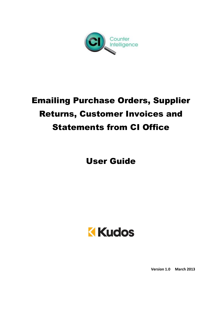

# Emailing Purchase Orders, Supplier Returns, Customer Invoices and Statements from CI Office

User Guide



**Version 1.0 March 2013**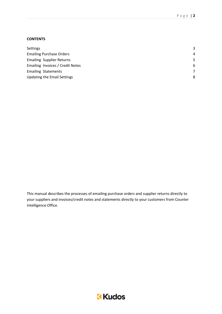#### **CONTENTS**

| <b>Settings</b>                    | 3              |
|------------------------------------|----------------|
| <b>Emailing Purchase Orders</b>    | $\overline{4}$ |
| <b>Emailing Supplier Returns</b>   | 5              |
| Emailing Invoices / Credit Notes   | 6              |
| <b>Emailing Statements</b>         |                |
| <b>Updating the Email Settings</b> | 8              |

This manual describes the processes of emailing purchase orders and supplier returns directly to your suppliers and invoices/credit notes and statements directly to your customers from Counter Intelligence Office.

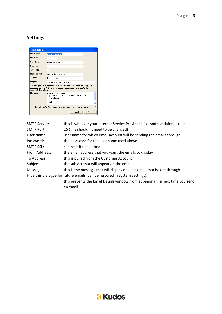## **Settings**



| <b>SMTP Server:</b> | this is whoever your Internet Service Provider is i.e. smtp.vodafone.co.nz   |
|---------------------|------------------------------------------------------------------------------|
| <b>SMTP Port:</b>   | 25 (this shouldn't need to be changed)                                       |
| User Name:          | user name for which email account will be sending the emails through.        |
| Password:           | the password for the user name used above.                                   |
| <b>SMTP SSL:</b>    | can be left unchecked                                                        |
| From Address:       | the email address that you want the emails to display                        |
| To Address:         | this is pulled from the Customer Account                                     |
| Subject:            | the subject that will appear on the email                                    |
| Message:            | this is the message that will display on each email that is sent through.    |
|                     | Hide this dialogue for future emails (can be restored in System Settings):   |
|                     | this prevents the Email Details window from appearing the next time you send |
|                     | an email.                                                                    |

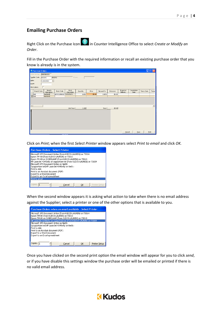#### **Emailing Purchase Orders**

Right Click on the Purchase Icon **in Counter Intelligence Office to select** *Create or Modify an Order*.

Fill in the Purchase Order with the required information or recall an existing purchase order that you know is already is in the system.

|                      | <sup>3</sup> Purchase Orders |                                        |                         |                      |          |        |            |           |                      |                      | П          | $\sqrt{1}$<br>o |
|----------------------|------------------------------|----------------------------------------|-------------------------|----------------------|----------|--------|------------|-----------|----------------------|----------------------|------------|-----------------|
|                      |                              | Order Number: 00000001026              |                         |                      |          |        |            |           |                      |                      |            |                 |
|                      | Supplier Code:               | ADIDAS                                 | <b>ADIDAS</b>           |                      | Phone:   |        |            |           |                      |                      |            |                 |
|                      | Date:                        | $\overline{\phantom{a}}$<br>12/03/2013 |                         |                      |          |        |            |           |                      |                      |            |                 |
|                      | Buyer:                       |                                        |                         |                      |          |        |            |           |                      |                      |            |                 |
|                      | Print Labels:                | $\Box$                                 |                         |                      |          |        |            |           |                      |                      |            |                 |
|                      | Branch Code                  | Branch<br>Description                  | Stock Code              | Stock<br>Description | Quantity | Price  | Discount % | Extension | Expected<br>Delivery | Cancellation<br>Date | Terms Code | Terms           |
|                      | ALK                          | Auckland                               | BATKOCRICKET Kookaburra |                      | 1.000    | \$5.00 | 0.00%      | \$5.00    |                      |                      |            |                 |
|                      | $*$ ALK                      | Auckland                               |                         |                      |          |        |            |           |                      |                      |            |                 |
|                      |                              |                                        |                         |                      |          |        |            |           |                      |                      |            |                 |
|                      |                              |                                        |                         |                      |          |        |            |           |                      |                      |            |                 |
|                      |                              |                                        |                         |                      |          |        |            |           |                      |                      |            |                 |
| $\blacktriangleleft$ |                              |                                        |                         |                      |          |        |            |           |                      |                      |            |                 |
|                      |                              |                                        |                         | Unit Total:          | 1.000    |        | Total:     | \$5.00    |                      |                      |            |                 |
|                      |                              |                                        |                         |                      |          |        |            |           |                      |                      |            |                 |
|                      |                              |                                        |                         |                      |          |        |            |           |                      |                      |            |                 |
|                      |                              |                                        |                         |                      |          |        |            |           |                      |                      |            |                 |
|                      |                              |                                        |                         |                      |          |        |            |           |                      |                      |            |                 |
|                      |                              |                                        |                         |                      |          |        |            |           |                      |                      |            |                 |
|                      |                              |                                        |                         |                      |          |        |            |           |                      |                      |            |                 |
|                      |                              |                                        |                         |                      |          |        |            |           |                      |                      |            |                 |
|                      |                              |                                        |                         |                      |          |        |            |           |                      |                      |            |                 |
|                      |                              |                                        |                         |                      |          |        |            |           | Cancel               | Save                 |            | <b>Print</b>    |
|                      |                              |                                        |                         |                      |          |        |            |           |                      |                      |            |                 |

Click on *Print*; when the first *Select Printer* window appears select *Print to email* and click *OK.*



When the second window appears it is asking what action to take when there is no email address against the Supplier; select a printer or one of the other options that is available to you.



Once you have clicked on the second print option the email window will appear for you to click *send*, or if you have disable this settings window the purchase order will be emailed or printed if there is no valid email address.

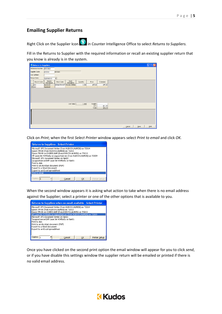#### **Emailing Supplier Returns**

Right Click on the Supplier Icon **in Counter Intelligence Office to select** *Returns to Suppliers.* 

Fill in the Returns to Supplier with the required information or recall an existing supplier return that you know is already is in the system.

|                |             | Returns to Suppliers       |               |                            |          |                |                    |        |      | $\mathbf{X}$<br>$\Box$ |
|----------------|-------------|----------------------------|---------------|----------------------------|----------|----------------|--------------------|--------|------|------------------------|
|                |             | Reference Number: 00010012 |               |                            |          |                |                    |        |      |                        |
| Supplier Code: |             | <b>ADIDAS</b>              | <b>ADIDAS</b> |                            |          |                |                    |        |      |                        |
| Our Contact:   |             |                            |               |                            |          |                |                    |        |      |                        |
| Return Date:   |             | 12/03/2013                 | ≛             |                            |          |                |                    |        |      |                        |
|                | Branch Code | Branch<br>Description      | Stock Code    | Stock<br>Description       | Quantity | Price          | Extension          |        |      |                        |
| ALK<br>$*$ ALK |             | Auckland<br>Auckland       |               | BATADCRICKET Wooden Adidas | 1.000    | \$75.00        | \$75.00            |        |      |                        |
|                |             |                            |               |                            |          |                |                    |        |      |                        |
|                |             |                            |               |                            |          |                |                    |        |      |                        |
|                |             |                            |               |                            |          |                |                    |        |      |                        |
|                |             |                            |               |                            |          |                |                    |        |      |                        |
|                |             |                            |               |                            |          |                |                    |        |      |                        |
|                |             |                            |               | Unit Total:                | 1.000    | Freight:       |                    |        |      |                        |
|                |             |                            |               |                            |          | GST:<br>Total: | \$11.25<br>\$86.25 |        |      |                        |
|                |             |                            |               |                            |          |                |                    |        |      |                        |
|                |             |                            |               |                            |          |                |                    |        |      |                        |
|                |             |                            |               |                            |          |                |                    |        |      |                        |
|                |             |                            |               |                            |          |                |                    |        |      |                        |
|                |             |                            |               |                            |          |                |                    |        |      |                        |
|                |             |                            |               |                            |          |                |                    | Cancel | Save | Print                  |

Click on *Print*; when the first *Select Printer* window appears select *Print to email* and click *OK.*



When the second window appears it is asking what action to take when there is no email address against the Supplier; select a printer or one of the other options that is available to you.



Once you have clicked on the second print option the email window will appear for you to click *send*, or if you have disable this settings window the supplier return will be emailed or printed if there is no valid email address.

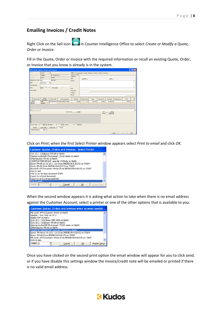### **Emailing Invoices / Credit Notes**

Right Click on the Sell Icon **in Counter Intelligence Office to select** *Create or Modify a Quote*, *Order or Invoice*.

Fill in the Quote, Order or Invoice with the required information or recall an existing Quote, Order, or Invoice that you know is already is in the system.

| Customer Quotes, Orders and Invoices |                                                  |                 |                                    |                                                                         |                                 |          |                |                     |             |         | $\Box$ ek    |
|--------------------------------------|--------------------------------------------------|-----------------|------------------------------------|-------------------------------------------------------------------------|---------------------------------|----------|----------------|---------------------|-------------|---------|--------------|
| Type:                                | Invoice                                          | 모               |                                    | Delivery   Outstanding   Quotes   Balances   History   Notes   Previous |                                 |          |                |                     |             |         |              |
| Cystomer Code:                       | LYEBREN                                          | Mr. Brendon Lye |                                    | Delivery Details<br>Company:                                            |                                 |          |                |                     |             |         |              |
| Number:                              | 010071                                           | 010071          |                                    | Title:                                                                  | $\overline{\phantom{a}}$ Eirst: |          |                | Last:               |             |         |              |
| Salesperson Code: ALK1               |                                                  | Ful-Time        |                                    | Street:                                                                 |                                 |          |                |                     |             |         |              |
| Date:                                | 30/11/2012                                       | $\blacksquare$  |                                    |                                                                         |                                 |          |                |                     |             |         |              |
| Customer Ref:                        |                                                  |                 |                                    |                                                                         |                                 |          |                |                     |             |         |              |
| Price:                               | Retail                                           | GST Exempt:     | $\Box$                             | City:                                                                   |                                 |          |                |                     |             |         |              |
| Print Labels:                        | п                                                |                 |                                    | Post code:                                                              |                                 |          |                |                     |             |         |              |
|                                      |                                                  |                 |                                    | Country:                                                                |                                 |          |                |                     |             |         |              |
|                                      |                                                  |                 |                                    | Phone:                                                                  |                                 |          |                |                     |             |         |              |
|                                      | Branch                                           |                 |                                    |                                                                         |                                 |          |                |                     |             |         |              |
| Branch Code                          | Description                                      | Stock Code      | Stock Description                  | Quantity                                                                | To Back Order                   | Price    | Discount %     | Extension           | Required by | Cost    | GP %         |
| WEB<br>※ HAM                         | Web<br>Hamilton                                  |                 | BATADCRICKET Wooden Adidas Cricket | 10,000                                                                  | $\bf{0}$                        | \$113.85 | 10.00%         | \$1,024.65          |             | \$75.00 |              |
|                                      |                                                  |                 |                                    |                                                                         |                                 |          |                |                     |             |         |              |
|                                      |                                                  |                 |                                    |                                                                         |                                 |          |                |                     |             |         |              |
| $\blacktriangleleft$                 |                                                  |                 |                                    |                                                                         |                                 |          |                |                     |             |         | $\cdot$      |
|                                      |                                                  |                 | Unit Total:                        | 10.000                                                                  |                                 |          | GST:<br>Total: | \$0.00]<br>\$891.00 |             |         |              |
|                                      |                                                  |                 |                                    |                                                                         |                                 |          |                |                     |             |         |              |
|                                      |                                                  |                 |                                    |                                                                         |                                 |          |                |                     |             |         |              |
|                                      |                                                  |                 |                                    |                                                                         |                                 |          |                |                     |             |         |              |
|                                      |                                                  |                 |                                    |                                                                         |                                 |          |                |                     |             |         |              |
| Invoice Total:                       | \$891.00 Allocated:<br>\$0.00 Owing:<br>\$891.00 |                 |                                    |                                                                         |                                 |          |                |                     |             |         |              |
| Cheque                               | Direct Debit                                     | Credit Card     | Charge                             |                                                                         |                                 |          |                |                     |             |         |              |
| Charge Amount:                       | \$891.00                                         |                 |                                    |                                                                         |                                 |          |                |                     |             |         |              |
|                                      |                                                  |                 |                                    |                                                                         |                                 |          |                |                     | Close       | Save    | <b>Brint</b> |
|                                      |                                                  |                 |                                    |                                                                         |                                 |          |                |                     |             |         |              |

Click on *Print*; when the first *Select Printer* window appears select *Print to email* and click *OK.*



When the second window appears it is asking what action to take when there is no email address against the Customer Account; select a printer or one of the other options that is available to you.



Once you have clicked on the second print option the email window will appear for you to click *send*, or if you have disable this settings window the invoice/credit note will be emailed or printed if there is no valid email address.

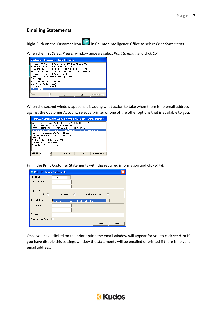#### **Emailing Statements**

Right Click on the Customer Icon **in** in Counter Intelligence Office to select *Print Statements*.

When the first *Select Printer* window appears select *Print to email* and click *OK.*



When the second window appears it is asking what action to take when there is no email address against the Customer Account; select a printer or one of the other options that is available to you.



Fill in the Print Customer Statements with the required information and click *Print*.

| <b>Print Customer Statements</b> |                                             |
|----------------------------------|---------------------------------------------|
| As At Date:                      | 28/02/2013                                  |
| From Customer:                   |                                             |
| To Customer:                     |                                             |
| Selection                        |                                             |
| All: $G$                         | - 0<br>O<br>With Transactions:<br>Non-Zero: |
| Account Type:                    | All Account Types except Revolving Credits  |
| From Group:                      |                                             |
| To Group:                        |                                             |
| Comment:                         |                                             |
| Show Invoice Detail: [           |                                             |
|                                  | Close<br>Print                              |

Once you have clicked on the print option the email window will appear for you to click *send*, or if you have disable this settings window the statements will be emailed or printed if there is no valid email address.